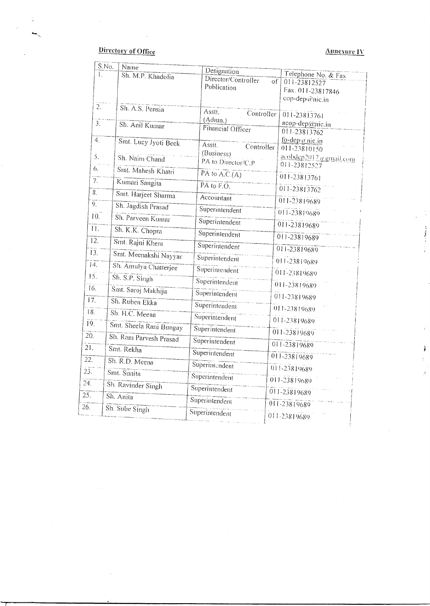# Directory of Office

 $\sim$   $\epsilon$ 

--- S.No. Name

Ļ.

# Annexure IV

Í.

|                   | S.No.<br>Name           | Designation                        |                                            |
|-------------------|-------------------------|------------------------------------|--------------------------------------------|
| L                 | Sh. M.P. Khadolia       | Director/Controller<br>Publication | Telephone No. & Fax<br>οf<br>011-23812527  |
|                   |                         |                                    | Fax. 011-23817846<br>cop-dep/@nic.in       |
| $\overline{2}$ .  | Sh. A.S. Pensia         | Asstt.<br>Controller               |                                            |
| $\overline{3}$ .  | Sh. Anil Kumar          | (Admn.)                            | 011-23813761<br>acop-dep@nic.in            |
|                   |                         | Financial Officer                  | 011-23813762                               |
| $\overline{4}$ .  | Smt. Lucy Jyoti Beck    | Asstt.<br>Controller               | fo-dep $\alpha$ nic.in<br>$011 - 23810150$ |
| 5.                | Sh. Naim Chand          | (Business)<br>PA to Director/C.P   | acobdep2017 a gmail.com<br>011-23812527    |
| 6.                | Smt. Mahesh Khatri      | PA to $A.C.(A)$                    | 011-23813761                               |
| 7 <sub>1</sub>    | Kumari Sangita          | PA to $F. O.$                      | 011-23813762                               |
| 8 <sub>1</sub>    | Smt. Harjeet Sharma     | Accountant                         | 011-23819689                               |
| $\overline{9}$ .  | Sh. Jagdish Prasad      | Superintendent                     | 011-23819689                               |
| 10.               | Sh. Parveen Kumar       | Superintendent                     | 011-23819689                               |
| $\overline{11}$ . | Sh. K.K. Chopra         | Superintendent                     | 011-23819689                               |
| 12.               | Smt. Rajni Khera        | Superintendent                     | 011-23819689                               |
| 13.               | Smt. Meenakshi Nayyar   | Superintendent                     | 011-23819689                               |
| 14.               | Sh. Amulya Chatterjee   | Superintendent                     | 011-23819689                               |
| $\overline{15}$ . | Sh. S.P. Singh          | Superintendent                     | 011-23819689                               |
| 16.               | Smt. Saroj Makhija      | Superintendent                     | 011-23819689                               |
| 17.               | Sh. Ruben Ekka          | Superintendent                     | 011-23819689                               |
| 18.               | Sh. H.C. Meena          | Superintendent                     | 011-23819689                               |
| 19.               | Smt. Sheela Rani Bungay | Superintendent                     | 011-23819689                               |
| 20.               | Sh. Ram Parvesh Prasad  | Superintendent                     | 011-23819689                               |
| $2\overline{1}$ . | Smt. Rekha              | Superintendent                     | 011-23819689                               |
| 22.               | Sh. R.D. Meena          | Superintendent                     | 011-23819689                               |
| 23.               | Smt. Sunita             | Superintendent                     | 011-23819689                               |
| $\overline{24}$ . | Sh. Ravinder Singh      | Superintendent                     | 011-23819689                               |
| 25.               | Sh. Anita               | Superintendent                     | 011-23819689                               |
| 26.               | Sh. Sube Singh          | Superintendent                     | 011-23819689                               |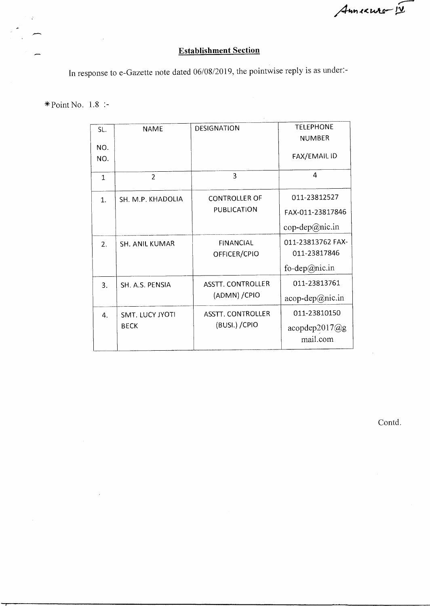Annexuro-12

# Establishment Section

In response to e-Gazette note dated 06/08/2019, the pointwise reply is as under:-

\* Point No. 1.8 :-

 $\ddot{\mathcal{L}}$ 

| SL.              | <b>NAME</b>            | <b>DESIGNATION</b>               | <b>TELEPHONE</b>                  |
|------------------|------------------------|----------------------------------|-----------------------------------|
| NO.<br>NO.       |                        |                                  | <b>NUMBER</b><br>FAX/EMAIL ID     |
| 1                | $\overline{2}$         | 3                                | 4                                 |
| $\mathbf{1}$     | SH. M.P. KHADOLIA      | <b>CONTROLLER OF</b>             | 011-23812527                      |
|                  |                        | <b>PUBLICATION</b>               | FAX-011-23817846                  |
|                  |                        |                                  | $cop-dep@nic.in$                  |
| 2.               | <b>SH. ANIL KUMAR</b>  | <b>FINANCIAL</b><br>OFFICER/CPIO | 011-23813762 FAX-<br>011-23817846 |
|                  |                        |                                  | fo-dep@nic.in                     |
| 3.               | SH. A.S. PENSIA        | <b>ASSTT. CONTROLLER</b>         | 011-23813761                      |
|                  |                        | (ADMN) / CPIO                    | $acop-dep@nic.in$                 |
| $\overline{4}$ . | <b>SMT. LUCY JYOTI</b> | ASSTT. CONTROLLER                | 011-23810150                      |
|                  | <b>BECK</b>            | (BUSI.) / CPIO                   | acopdep2017@g<br>mail.com         |

Contd.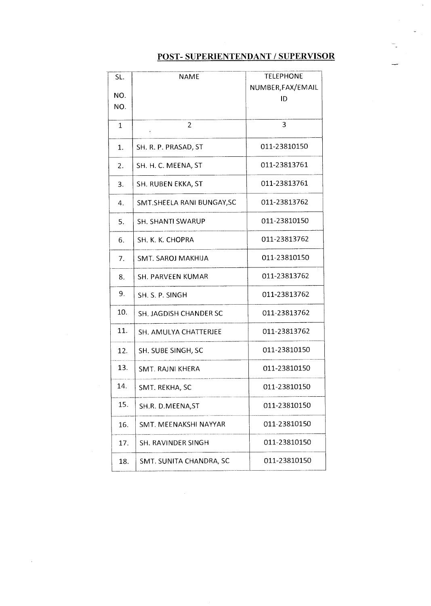# POST- SUPERIENTENDANT / SUPERVISOR

| SL. | <b>NAME</b>                   | <b>TELEPHONE</b>  |
|-----|-------------------------------|-------------------|
| NO. |                               | NUMBER, FAX/EMAIL |
| NO. |                               | ID                |
|     |                               |                   |
| 1   | 2<br>ċ                        | 3                 |
| 1.  | SH. R. P. PRASAD, ST          | 011-23810150      |
| 2.  | SH. H. C. MEENA, ST           | 011-23813761      |
| 3.  | SH. RUBEN EKKA, ST            | 011-23813761      |
| 4.  | SMT.SHEELA RANI BUNGAY, SC    | 011-23813762      |
| 5.  | <b>SH. SHANTI SWARUP</b>      | 011-23810150      |
| 6.  | SH. K. K. CHOPRA              | 011-23813762      |
| 7.  | SMT. SAROJ MAKHIJA            | 011-23810150      |
| 8.  | SH. PARVEEN KUMAR             | 011-23813762      |
| 9.  | SH. S. P. SINGH               | 011-23813762      |
| 10. | <b>SH. JAGDISH CHANDER SC</b> | 011-23813762      |
| 11. | SH. AMULYA CHATTERJEE         | 011-23813762      |
| 12. | SH. SUBE SINGH, SC            | 011-23810150      |
| 13. | SMT. RAJNI KHERA              | 011-23810150      |
| 14. | SMT. REKHA, SC                | 011-23810150      |
| 15. | SH.R. D.MEENA, ST             | 011-23810150      |
| 16. | SMT. MEENAKSHI NAYYAR         | 011-23810150      |
| 17. | SH. RAVINDER SINGH            | 011-23810150      |
| 18. | SMT. SUNITA CHANDRA, SC       | 011-23810150      |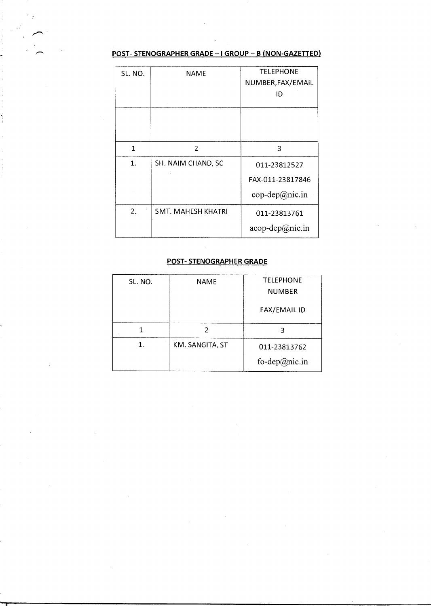### **POST- STENOGRAPHER GRADE - I GROUP - B (NON-GAZETTED)**

| SL. NO.      | NAME                      | <b>TELEPHONE</b><br>NUMBER, FAX/EMAIL<br>ID        |
|--------------|---------------------------|----------------------------------------------------|
|              |                           |                                                    |
| $\mathbf{1}$ | $\overline{2}$            | 3                                                  |
| 1.           | SH. NAIM CHAND, SC        | 011-23812527<br>FAX-011-23817846<br>cop-dep@nic.in |
| 2.           | <b>SMT. MAHESH KHATRI</b> | 011-23813761<br>$acop-dep@nic.in$                  |

#### **POST- STENOGRAPHER GRADE**

 $\sim$ 

| SL. NO. | NAME            | <b>TELEPHONE</b>    |
|---------|-----------------|---------------------|
|         |                 | <b>NUMBER</b>       |
|         |                 | <b>FAX/EMAIL ID</b> |
|         |                 |                     |
| 1.      | KM. SANGITA, ST | 011-23813762        |
|         |                 | fo-dep@nic.in       |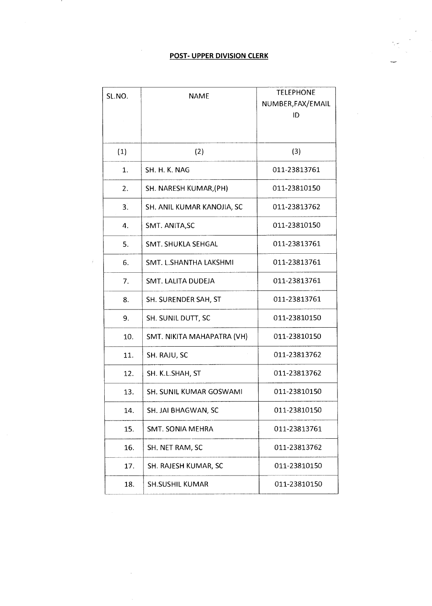## **POST- UPPER DIVISION CLERK**

-

| SL.NO. | <b>NAME</b>                | <b>TELEPHONE</b>  |
|--------|----------------------------|-------------------|
|        |                            | NUMBER, FAX/EMAIL |
|        |                            | ID                |
|        |                            |                   |
| (1)    | (2)                        | (3)               |
| 1.     | SH. H. K. NAG              | 011-23813761      |
| 2.     | SH. NARESH KUMAR, (PH)     | 011-23810150      |
| 3.     | SH. ANIL KUMAR KANOJIA, SC | 011-23813762      |
| 4.     | SMT. ANITA, SC             | 011-23810150      |
| 5.     | SMT. SHUKLA SEHGAL         | 011-23813761      |
| 6.     | SMT. L.SHANTHA LAKSHMI     | 011-23813761      |
| 7.     | SMT. LALITA DUDEJA         | 011-23813761      |
| 8.     | SH. SURENDER SAH, ST       | 011-23813761      |
| 9.     | SH. SUNIL DUTT, SC         | 011-23810150      |
| 10.    | SMT. NIKITA MAHAPATRA (VH) | 011-23810150      |
| 11.    | SH. RAJU, SC               | 011-23813762      |
| 12.    | SH. K.L.SHAH, ST           | 011-23813762      |
| 13.    | SH. SUNIL KUMAR GOSWAMI    | 011-23810150      |
| 14.    | SH. JAI BHAGWAN, SC        | 011-23810150      |
| 15.    | SMT. SONIA MEHRA           | 011-23813761      |
| 16.    | SH. NET RAM, SC            | 011-23813762      |
| 17.    | SH. RAJESH KUMAR, SC       | 011-23810150      |
| 18.    | <b>SH.SUSHIL KUMAR</b>     | 011-23810150      |

÷.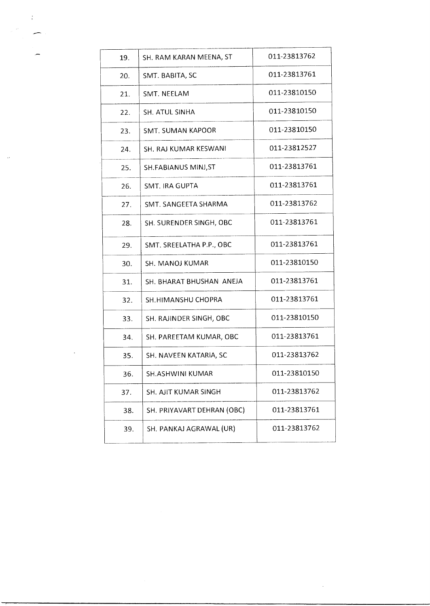| 19. | SH. RAM KARAN MEENA, ST    | 011-23813762 |
|-----|----------------------------|--------------|
| 20. | SMT. BABITA, SC            | 011-23813761 |
| 21. | SMT. NEELAM                | 011-23810150 |
| 22. | SH. ATUL SINHA             | 011-23810150 |
| 23. | <b>SMT. SUMAN KAPOOR</b>   | 011-23810150 |
| 24. | SH. RAJ KUMAR KESWANI      | 011-23812527 |
| 25. | SH.FABIANUS MINJ, ST       | 011-23813761 |
| 26. | SMT. IRA GUPTA             | 011-23813761 |
| 27. | SMT. SANGEETA SHARMA       | 011-23813762 |
| 28. | SH. SURENDER SINGH, OBC    | 011-23813761 |
| 29. | SMT. SREELATHA P.P., OBC   | 011-23813761 |
| 30. | SH. MANOJ KUMAR            | 011-23810150 |
| 31. | SH. BHARAT BHUSHAN ANEJA   | 011-23813761 |
| 32. | SH.HIMANSHU CHOPRA         | 011-23813761 |
| 33. | SH. RAJINDER SINGH, OBC    | 011-23810150 |
| 34. | SH. PAREETAM KUMAR, OBC    | 011-23813761 |
| 35. | SH. NAVEEN KATARIA, SC     | 011-23813762 |
| 36. | <b>SH.ASHWINI KUMAR</b>    | 011-23810150 |
| 37. | SH. AJIT KUMAR SINGH       | 011-23813762 |
| 38. | SH. PRIYAVART DEHRAN (OBC) | 011-23813761 |
| 39. | SH. PANKAJ AGRAWAL (UR)    | 011-23813762 |
|     |                            |              |

 $\mathcal{R}^{\mathcal{A}}$ 

 $\hat{\rho}_{\rm eff}$ 

 $\mathcal{L}^{\text{max}}_{\text{max}}$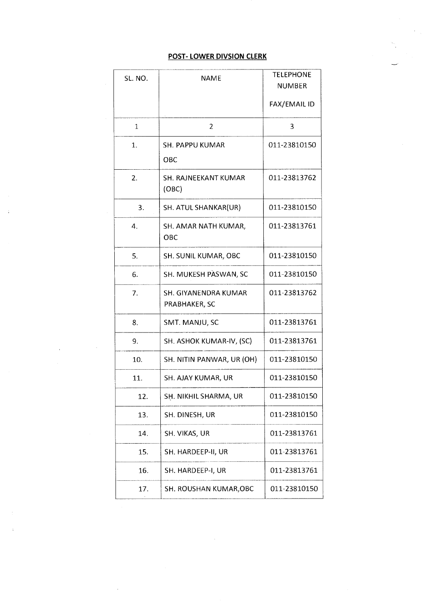#### **POST- LOWER DIVSION CLERK**

| SL. NO.      | <b>NAME</b>                           | <b>TELEPHONE</b><br><b>NUMBER</b> |
|--------------|---------------------------------------|-----------------------------------|
|              |                                       | FAX/EMAIL ID                      |
| $\mathbf{1}$ | 2                                     | 3                                 |
| 1.           | SH. PAPPU KUMAR<br>OBC                | 011-23810150                      |
| 2.           | SH. RAJNEEKANT KUMAR<br>(OBC)         | 011-23813762                      |
| 3.           | SH. ATUL SHANKAR(UR)                  | 011-23810150                      |
| 4.           | SH. AMAR NATH KUMAR,<br>ОВС           | 011-23813761                      |
| 5.           | SH. SUNIL KUMAR, OBC                  | 011-23810150                      |
| 6.           | SH. MUKESH PASWAN, SC                 | 011-23810150                      |
| 7.           | SH. GIYANENDRA KUMAR<br>PRABHAKER, SC | 011-23813762                      |
| 8.           | SMT. MANJU, SC                        | 011-23813761                      |
| 9.           | SH. ASHOK KUMAR-IV, (SC)              | 011-23813761                      |
| 10.          | SH. NITIN PANWAR, UR (OH)             | 011-23810150                      |
| 11.          | SH. AJAY KUMAR, UR                    | 011-23810150                      |
| 12.          | SH. NIKHIL SHARMA, UR                 | 011-23810150                      |
| 13.          | SH. DINESH, UR                        | 011-23810150                      |
| 14.          | SH. VIKAS, UR                         | 011-23813761                      |
| 15.          | SH. HARDEEP-II, UR                    | 011-23813761                      |
| 16.          | SH. HARDEEP-I, UR                     | 011-23813761                      |
| 17.          | SH. ROUSHAN KUMAR, OBC                | 011-23810150                      |

 $\ddot{\phantom{a}}$ 

 $\overline{a}$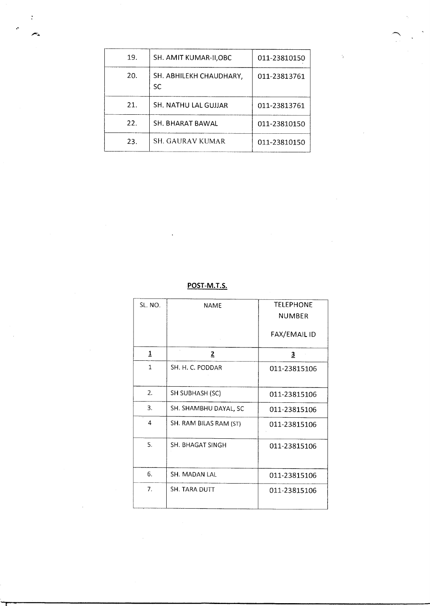| 19. | SH. AMIT KUMAR-II,OBC                | 011-23810150 |
|-----|--------------------------------------|--------------|
| 20. | SH. ABHILEKH CHAUDHARY,<br><b>SC</b> | 011-23813761 |
| 21. | SH. NATHU LAL GUJJAR                 | 011-23813761 |
| 22. | SH. BHARAT BAWAL                     | 011-23810150 |
| 23. | SH. GAURAV KUMAR                     | 011-23810150 |

 $\ddot{\epsilon}$ 

**POST-M.T.S.** 

| SL. NO.      | <b>NAME</b>            | <b>TELEPHONE</b><br><b>NUMBER</b><br>FAX/EMAIL ID |
|--------------|------------------------|---------------------------------------------------|
| 1            | $\overline{2}$         | $\overline{3}$                                    |
| $\mathbf{1}$ | SH. H. C. PODDAR       | 011-23815106                                      |
| 2.           | SH SUBHASH (SC)        | 011-23815106                                      |
| 3.           | SH. SHAMBHU DAYAL, SC  | 011-23815106                                      |
| 4            | SH. RAM BILAS RAM (ST) | 011-23815106                                      |
| 5.           | SH. BHAGAT SINGH       | 011-23815106                                      |
| 6.           | SH. MADAN LAL          | 011-23815106                                      |
| 7.           | <b>SH. TARA DUTT</b>   | 011-23815106                                      |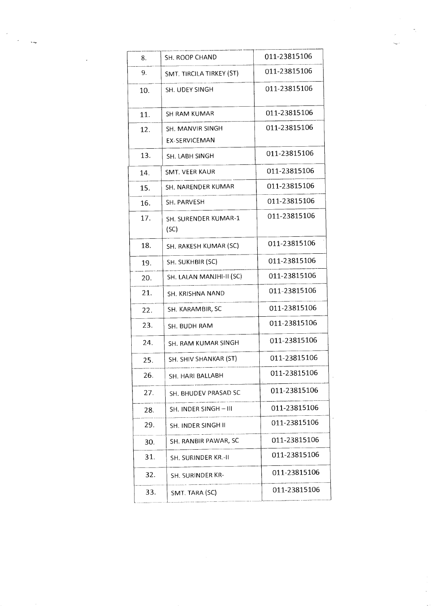| 8.  | SH. ROOP CHAND                    | 011-23815106 |
|-----|-----------------------------------|--------------|
| 9.  | SMT. TIRCILA TIRKEY (ST)          | 011-23815106 |
| 10. | SH. UDEY SINGH                    | 011-23815106 |
| 11. | SH RAM KUMAR                      | 011-23815106 |
| 12. | SH. MANVIR SINGH<br>EX-SERVICEMAN | 011-23815106 |
| 13. | SH. LABH SINGH                    | 011-23815106 |
| 14. | SMT. VEER KAUR                    | 011-23815106 |
| 15. | SH. NARENDER KUMAR                | 011-23815106 |
| 16. | SH. PARVESH                       | 011-23815106 |
| 17. | SH. SURENDER KUMAR-1<br>(SC)      | 011-23815106 |
| 18. | SH. RAKESH KUMAR (SC)             | 011-23815106 |
| 19. | SH. SUKHBIR (SC)                  | 011-23815106 |
| 20. | SH. LALAN MANJHI-II (SC)          | 011-23815106 |
| 21. | SH. KRISHNA NAND                  | 011-23815106 |
| 22. | SH. KARAMBIR, SC                  | 011-23815106 |
| 23. | SH. BUDH RAM                      | 011-23815106 |
| 24. | SH. RAM KUMAR SINGH               | 011-23815106 |
| 25. | SH. SHIV SHANKAR (ST)             | 011-23815106 |
| 26. | SH. HARI BALLABH                  | 011-23815106 |
| 27. | SH. BHUDEV PRASAD SC              | 011-23815106 |
| 28. | SH. INDER SINGH-III               | 011-23815106 |
| 29. | SH. INDER SINGH II                | 011-23815106 |
| 30. | SH. RANBIR PAWAR, SC              | 011-23815106 |
| 31. | SH. SURINDER KR.-II               | 011-23815106 |
| 32. | SH. SURINDER KR-                  | 011-23815106 |
| 33. | SMT. TARA (SC)                    | 011-23815106 |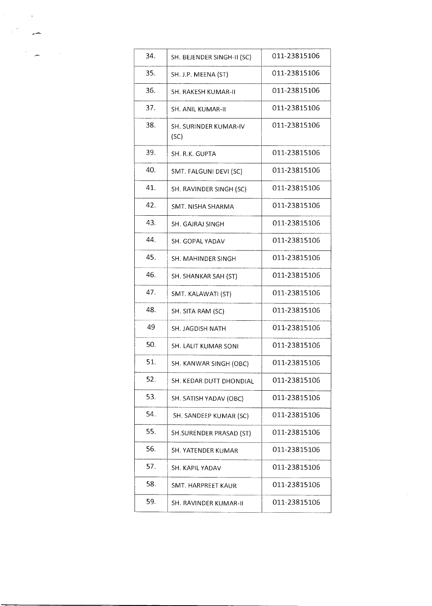| 34. | SH. BEJENDER SINGH-II (SC)    | 011-23815106 |
|-----|-------------------------------|--------------|
| 35. | SH. J.P. MEENA (ST)           | 011-23815106 |
| 36. | SH. RAKESH KUMAR-II           | 011-23815106 |
| 37. | SH. ANIL KUMAR-II             | 011-23815106 |
| 38. | SH. SURINDER KUMAR-IV<br>(SC) | 011-23815106 |
| 39. | SH. R.K. GUPTA                | 011-23815106 |
| 40. | SMT. FALGUNI DEVI (SC)        | 011-23815106 |
| 41. | SH. RAVINDER SINGH (SC)       | 011-23815106 |
| 42. | SMT. NISHA SHARMA             | 011-23815106 |
| 43. | SH. GAJRAJ SINGH              | 011-23815106 |
| 44. | SH. GOPAL YADAV               | 011-23815106 |
| 45. | SH. MAHINDER SINGH            | 011-23815106 |
| 46. | SH. SHANKAR SAH (ST)          | 011-23815106 |
| 47. | SMT. KALAWATI (ST)            | 011-23815106 |
| 48. | SH. SITA RAM (SC)             | 011-23815106 |
| 49  | SH. JAGDISH NATH              | 011-23815106 |
| 50. | SH. LALIT KUMAR SONI          | 011-23815106 |
| 51. | SH. KANWAR SINGH (OBC)        | 011-23815106 |
| 52. | SH. KEDAR DUTT DHONDIAL       | 011-23815106 |
| 53. | SH. SATISH YADAV (OBC)        | 011-23815106 |
| 54. | SH. SANDEEP KUMAR (SC)        | 011-23815106 |
| 55. | SH.SURENDER PRASAD (ST)       | 011-23815106 |
| 56. | SH. YATENDER KUMAR            | 011-23815106 |
| 57. | SH. KAPIL YADAV               | 011-23815106 |
| 58. | SMT. HARPREET KAUR            | 011-23815106 |
| 59. | SH. RAVINDER KUMAR-II         | 011-23815106 |
|     |                               |              |

 $\label{eq:2} \frac{d^2\mathbf{p}}{d\mathbf{p}} = \frac{d\mathbf{p}}{d\mathbf{p}} \left[ \frac{d\mathbf{p}}{d\mathbf{p}} \right] \left[ \frac{d\mathbf{p}}{d\mathbf{p}} \right] \left[ \frac{d\mathbf{p}}{d\mathbf{p}} \right] \, .$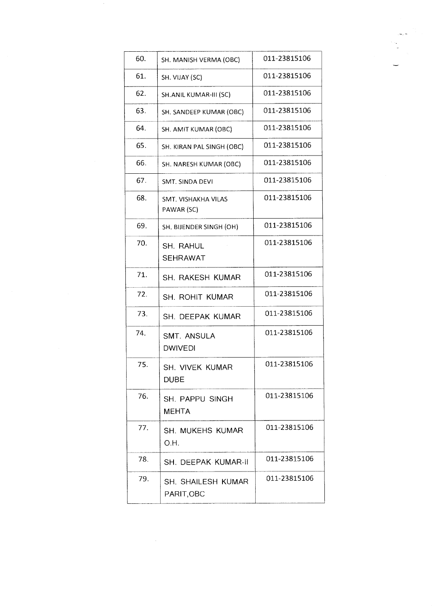| 60. | SH. MANISH VERMA (OBC)               | 011-23815106 |
|-----|--------------------------------------|--------------|
| 61. | SH. VIJAY (SC)                       | 011-23815106 |
| 62. | SH.ANIL KUMAR-III (SC)               | 011-23815106 |
| 63. | SH. SANDEEP KUMAR (OBC)              | 011-23815106 |
| 64. | SH. AMIT KUMAR (OBC)                 | 011-23815106 |
| 65. | SH. KIRAN PAL SINGH (OBC)            | 011-23815106 |
| 66. | SH. NARESH KUMAR (OBC)               | 011-23815106 |
| 67. | SMT. SINDA DEVI                      | 011-23815106 |
| 68. | SMT. VISHAKHA VILAS<br>PAWAR (SC)    | 011-23815106 |
| 69. | SH. BIJENDER SINGH (OH)              | 011-23815106 |
| 70. | <b>SH. RAHUL</b><br>SEHRAWAT         | 011-23815106 |
| 71. | SH. RAKESH KUMAR                     | 011-23815106 |
| 72. | <b>SH. ROHIT KUMAR</b>               | 011-23815106 |
| 73. | SH. DEEPAK KUMAR                     | 011-23815106 |
| 74. | <b>SMT. ANSULA</b><br><b>DWIVEDI</b> | 011-23815106 |
| 75. | SH. VIVEK KUMAR<br><b>DUBE</b>       | 011-23815106 |
| 76. | SH. PAPPU SINGH<br><b>MEHTA</b>      | 011-23815106 |
| 77. | SH. MUKEHS KUMAR<br>O.H.             | 011-23815106 |
| 78. | SH. DEEPAK KUMAR-II                  | 011-23815106 |
| 79. | SH. SHAILESH KUMAR<br>PARIT, OBC     | 011-23815106 |

 $\sim$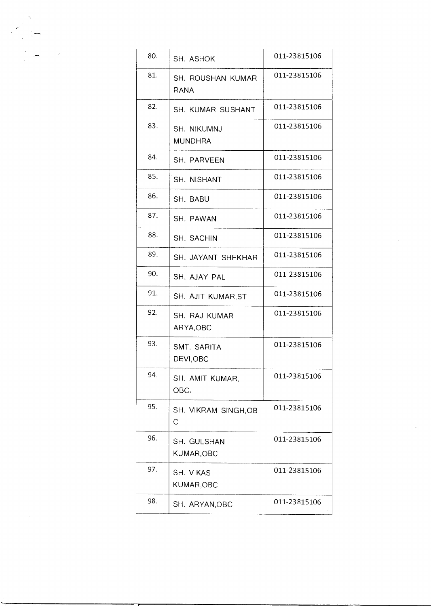| 80. | SH. ASHOK                     | 011-23815106 |
|-----|-------------------------------|--------------|
| 81. | SH. ROUSHAN KUMAR<br>RANA     | 011-23815106 |
| 82. | SH. KUMAR SUSHANT             | 011-23815106 |
| 83. | SH. NIKUMNJ<br><b>MUNDHRA</b> | 011-23815106 |
| 84. | SH. PARVEEN                   | 011-23815106 |
| 85. | SH. NISHANT                   | 011-23815106 |
| 86. | SH. BABU                      | 011-23815106 |
| 87. | SH. PAWAN                     | 011-23815106 |
| 88. | SH. SACHIN                    | 011-23815106 |
| 89. | SH. JAYANT SHEKHAR            | 011-23815106 |
| 90. | SH. AJAY PAL                  | 011-23815106 |
| 91. | SH. AJIT KUMAR, ST            | 011-23815106 |
| 92. | SH. RAJ KUMAR<br>ARYA, OBC    | 011-23815106 |
| 93. | SMT. SARITA<br>DEVI,OBC       | 011-23815106 |
| 94. | SH. AMIT KUMAR,<br>OBC.       | 011-23815106 |
| 95. | SH. VIKRAM SINGH, OB<br>С     | 011-23815106 |
| 96. | SH. GULSHAN<br>KUMAR, OBC     | 011-23815106 |
| 97. | SH. VIKAS<br>KUMAR, OBC       | 011-23815106 |
| 98. | SH. ARYAN, OBC                | 011-23815106 |